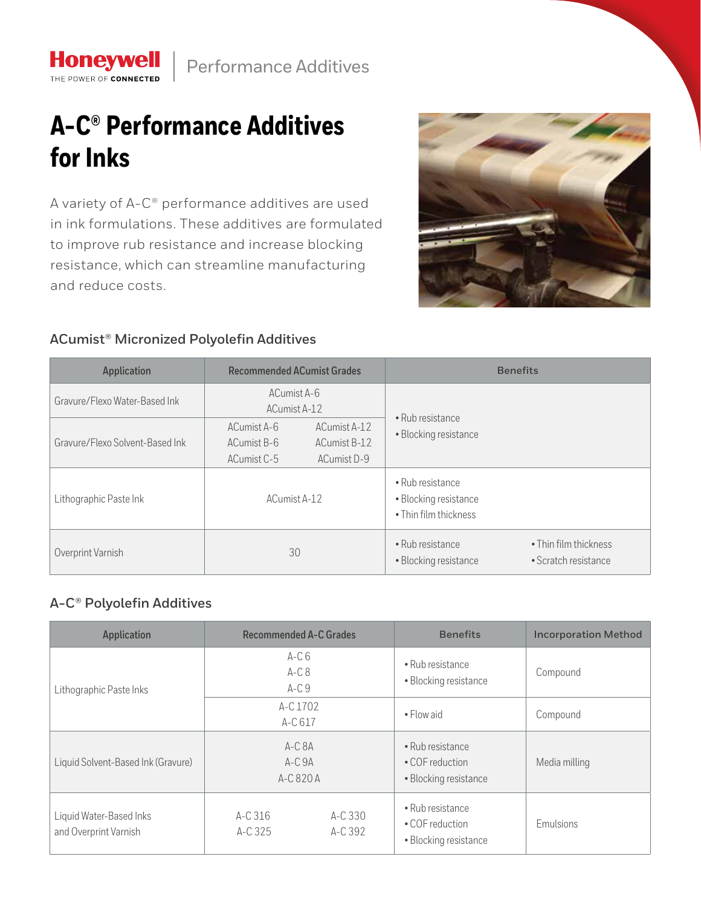

## **A-C® Performance Additives for Inks**

**Honeywell** THE POWER OF CONNECTED

A variety of A-C® performance additives are used in ink formulations. These additives are formulated to improve rub resistance and increase blocking resistance, which can streamline manufacturing and reduce costs.



## **ACumist® Micronized Polyolefin Additives**

| <b>Application</b>              | <b>Recommended ACumist Grades</b>                                                        | <b>Benefits</b>                                                                            |  |
|---------------------------------|------------------------------------------------------------------------------------------|--------------------------------------------------------------------------------------------|--|
| Gravure/Flexo Water-Based Ink   | ACumist A-6<br>ACumist A-12                                                              | • Rub resistance                                                                           |  |
| Gravure/Flexo Solvent-Based Ink | ACumist A-6<br>ACumist A-12<br>ACumist B-6<br>ACumist B-12<br>ACumist C-5<br>ACumist D-9 | · Blocking resistance                                                                      |  |
| Lithographic Paste Ink          | ACumist A-12                                                                             | • Rub resistance<br>• Blocking resistance<br>• Thin film thickness                         |  |
| Overprint Varnish               | 30                                                                                       | • Rub resistance<br>• Thin film thickness<br>• Scratch resistance<br>• Blocking resistance |  |

## **A-C® Polyolefin Additives**

| Application                                      | <b>Recommended A-C Grades</b>    |                    | <b>Benefits</b>                                              | <b>Incorporation Method</b> |
|--------------------------------------------------|----------------------------------|--------------------|--------------------------------------------------------------|-----------------------------|
| Lithographic Paste Inks                          | $A-C6$<br>$A-C8$<br>$A-C9$       |                    | • Rub resistance<br>· Blocking resistance                    | Compound                    |
|                                                  | A-C 1702<br>A-C 617              |                    | $\bullet$ Flow aid                                           | Compound                    |
| Liquid Solvent-Based Ink (Gravure)               | $A-CBA$<br>$A-C.9A$<br>A-C 820 A |                    | • Rub resistance<br>• COF reduction<br>• Blocking resistance | Media milling               |
| Liquid Water-Based Inks<br>and Overprint Varnish | $A-C.316$<br>A-C 325             | A-C 330<br>A-C 392 | • Rub resistance<br>• COF reduction<br>• Blocking resistance | Emulsions                   |